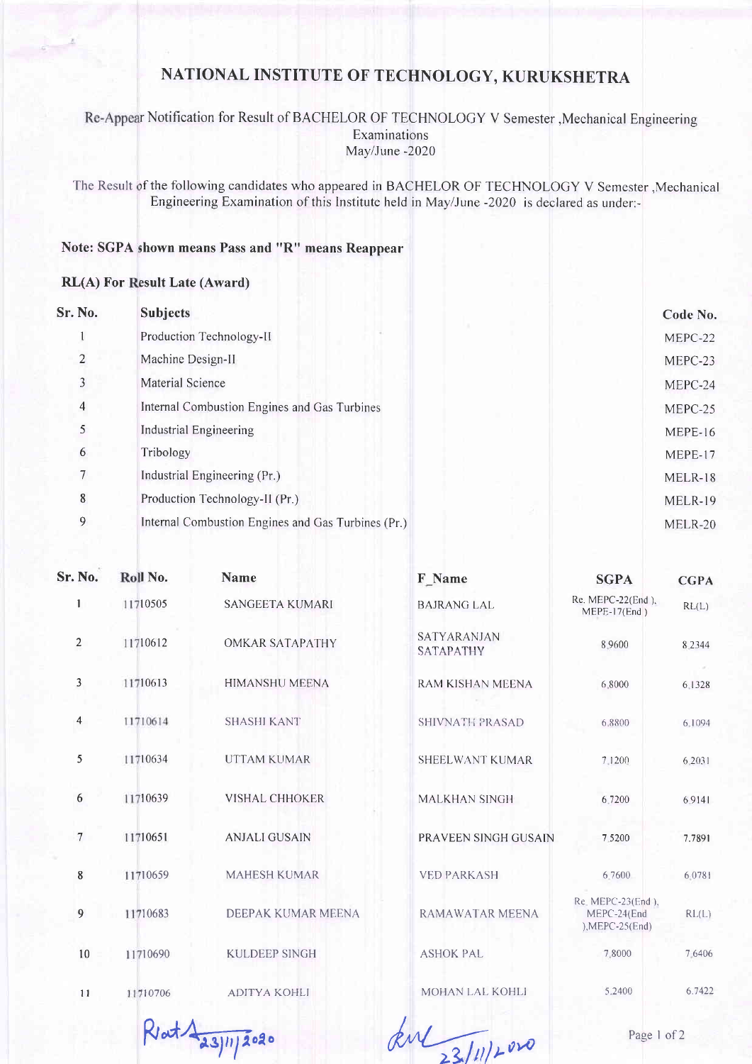## NATIONAL INSTITUTE OF TECHNOLOGY, KURUKSHETRA

Re-Appear Notification for Result of BACHELOR OF TECHNOLOGY V Semester , Mechanical Engineering Examinations May/June-2020

The Result of the following candidates who appeared in BACHELOR OF TECHNOLOGY V Semester , Mechanical Engineering Examination of this Institute held in May/June -2020 is declared as under:-

## Note: SGPA shown means Pass and "R" means Reappear

## **RL(A) For Result Late (Award)**

| Sr. No.         | <b>Subjects</b>                                    | Code No. |
|-----------------|----------------------------------------------------|----------|
|                 | Production Technology-II                           | MEPC-22  |
| $\overline{2}$  | Machine Design-II                                  | MEPC-23  |
| 3               | Material Science                                   | MEPC-24  |
| 4               | Internal Combustion Engines and Gas Turbines       | MEPC-25  |
| 5               | Industrial Engineering                             | MEPE-16  |
| 6               | Tribology                                          | MEPE-17  |
| $7\phantom{.0}$ | Industrial Engineering (Pr.)                       | MELR-18  |
| 8               | Production Technology-II (Pr.)                     | MELR-19  |
| 9               | Internal Combustion Engines and Gas Turbines (Pr.) | MELR-20  |
|                 |                                                    |          |

| <b>Sr. No.</b>          | Roll No. | <b>Name</b>            | F Name                          | <b>SGPA</b>                                           | <b>CGPA</b> |
|-------------------------|----------|------------------------|---------------------------------|-------------------------------------------------------|-------------|
|                         | 11710505 | <b>SANGEETA KUMARI</b> | <b>BAJRANG LAL</b>              | Re. MEPC-22(End),<br>$MEPE-17(End)$                   | RL(L)       |
| $\overline{2}$          | 11710612 | <b>OMKAR SATAPATHY</b> | SATYARANJAN<br><b>SATAPATHY</b> | 8,9600                                                | 8.2344      |
| $\overline{3}$          | 11710613 | <b>HIMANSHU MEENA</b>  | RAM KISHAN MEENA                | 6.8000                                                | 6.1328      |
| $\overline{\mathbf{4}}$ | 11710614 | <b>SHASHI KANT</b>     | <b>SHIVNATH PRASAD</b>          | 6.8800                                                | 6.1094      |
| 5                       | 11710634 | <b>UTTAM KUMAR</b>     | SHEELWANT KUMAR                 | 7.1200                                                | 6.2031      |
| 6                       | 11710639 | <b>VISHAL CHHOKER</b>  | <b>MALKHAN SINGH</b>            | 6.7200                                                | 6.9141      |
| $7\phantom{.0}$         | 11710651 | <b>ANJALI GUSAIN</b>   | PRAVEEN SINGH GUSAIN            | 7.5200                                                | 7.7891      |
| 8                       | 11710659 | <b>MAHESH KUMAR</b>    | <b>VED PARKASH</b>              | 6.7600                                                | 6.0781      |
| $\overline{9}$          | 11710683 | DEEPAK KUMAR MEENA     | RAMAWATAR MEENA                 | Re. MEPC-23(End).<br>MEPC-24(End<br>$),$ MEPC-25(End) | RL(L)       |
| 10                      | 11710690 | <b>KULDEEP SINGH</b>   | <b>ASHOK PAL</b>                | 7,8000                                                | 7.6406      |
| 11                      | 11710706 | <b>ADITYA KOHLI</b>    | MOHAN LAL KOHLI                 | 5.2400                                                | 6.7422      |
|                         |          |                        |                                 |                                                       |             |

 $R$ ot $A_{a3|n}$ 2020

and 23/11/2020